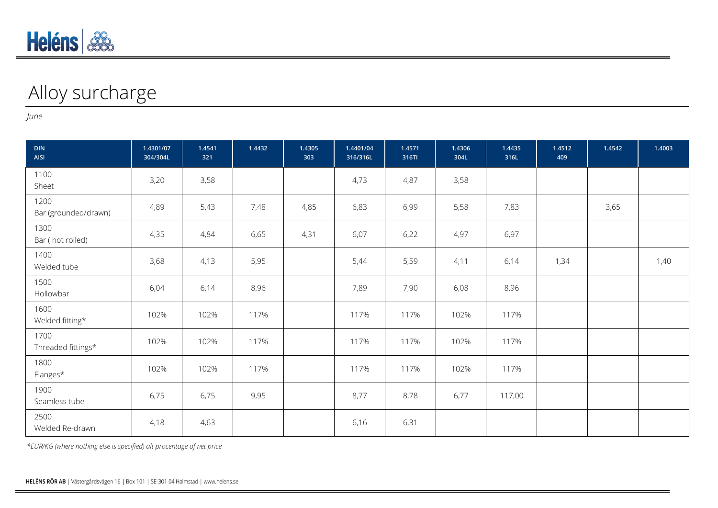## Alloy surcharge

*June*

| <b>DIN</b><br>AISI           | 1.4301/07<br>304/304L | 1.4541<br>321 | 1.4432 | 1.4305<br>303 | 1.4401/04<br>316/316L | 1.4571<br>316TI | 1.4306<br>304L | 1.4435<br>316L | 1.4512<br>409 | 1.4542 | 1.4003 |
|------------------------------|-----------------------|---------------|--------|---------------|-----------------------|-----------------|----------------|----------------|---------------|--------|--------|
| 1100<br>Sheet                | 3,20                  | 3,58          |        |               | 4,73                  | 4,87            | 3,58           |                |               |        |        |
| 1200<br>Bar (grounded/drawn) | 4,89                  | 5,43          | 7,48   | 4,85          | 6,83                  | 6,99            | 5,58           | 7,83           |               | 3,65   |        |
| 1300<br>Bar (hot rolled)     | 4,35                  | 4,84          | 6,65   | 4,31          | 6,07                  | 6,22            | 4,97           | 6,97           |               |        |        |
| 1400<br>Welded tube          | 3,68                  | 4,13          | 5,95   |               | 5,44                  | 5,59            | 4,11           | 6,14           | 1,34          |        | 1,40   |
| 1500<br>Hollowbar            | 6,04                  | 6,14          | 8,96   |               | 7,89                  | 7,90            | 6,08           | 8,96           |               |        |        |
| 1600<br>Welded fitting*      | 102%                  | 102%          | 117%   |               | 117%                  | 117%            | 102%           | 117%           |               |        |        |
| 1700<br>Threaded fittings*   | 102%                  | 102%          | 117%   |               | 117%                  | 117%            | 102%           | 117%           |               |        |        |
| 1800<br>Flanges*             | 102%                  | 102%          | 117%   |               | 117%                  | 117%            | 102%           | 117%           |               |        |        |
| 1900<br>Seamless tube        | 6,75                  | 6,75          | 9,95   |               | 8,77                  | 8,78            | 6,77           | 117,00         |               |        |        |
| 2500<br>Welded Re-drawn      | 4,18                  | 4,63          |        |               | 6,16                  | 6,31            |                |                |               |        |        |

*\*EUR/KG (where nothing else is specified) alt procentage of net price*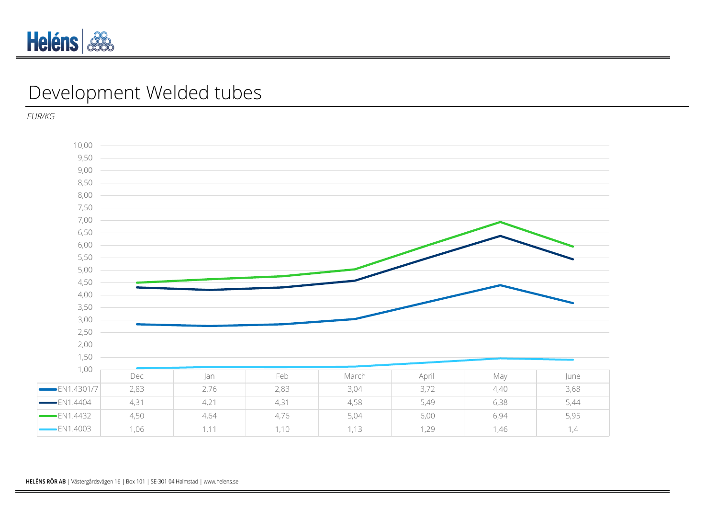

## Development Welded tubes

*EUR/KG*